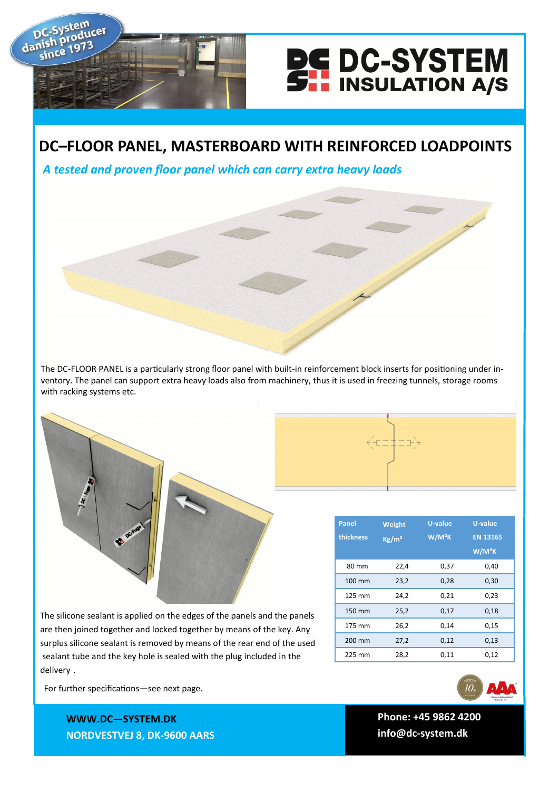

## **DC–FLOOR PANEL, MASTERBOARD WITH REINFORCED LOADPOINTS**

*A tested and proven floor panel which can carry extra heavy loads*

dar

The DC-FLOOR PANEL is a particularly strong floor panel with built-in reinforcement block inserts for positioning under inventory. The panel can support extra heavy loads also from machinery, thus it is used in freezing tunnels, storage rooms with racking systems etc.

The silicone sealant is applied on the edges of the panels and the panels are then joined together and locked together by means of the key. Any surplus silicone sealant is removed by means of the rear end of the used sealant tube and the key hole is sealed with the plug included in the delivery .

For further specifications—see next page.

**WWWW.DC—SYSTEM.DK WWW.DC—SYSTEM.DK NORDVESTVEJ 8, 9600 AARS NORDVESTVEJ 8, DK-9600 AARS**





**TLF: +45 9862 4200 Phone: +45 9862 4200 E-MAIL: DC-SYSTEM@DC-SYSTEM.DK info@dc-system.dk**